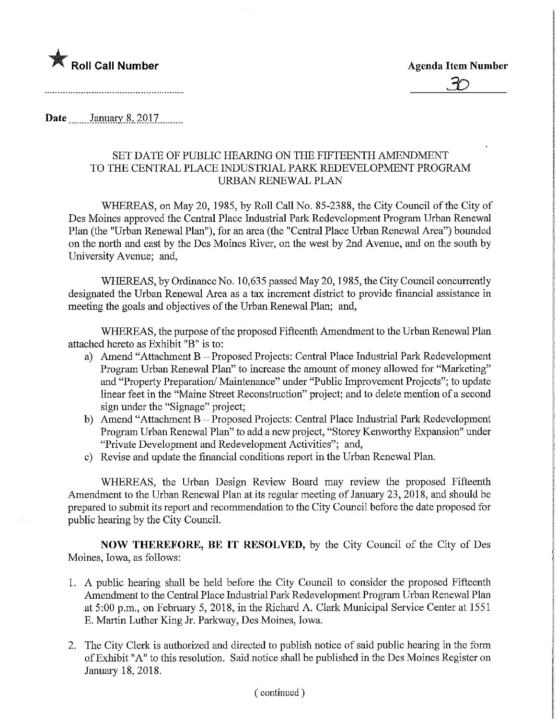

Date January 8, 2017

## SET DATE OF PUBLIC HEARING ON THE FIFTEENTH AMENDMENT TO THE CENTRAL PLACE INDUSTRIAL PARK REDEVELOPMENT PROGRAM URBAN RENEWAL PLAN

WHEREAS, on May 20, 1985, by Roll Call No. 85-2388, the City Council of the City of Des Moines approved the Central Place Industrial Park Redevelopment Program Urban Renewal Plan (the "Urban Renewal Plan"), for an area (the "Central Place Urban Renewal Area") bounded on the north and east by the Des Moines River, on the west by 2nd Avenue, and on the south by University Avenue; and,

WHEREAS, by Ordinance No. 10,635 passed May 20,1985, the City Council concurrently designated the Urban Renewal Area as a tax increment district to provide financial assistance in meeting the goals and objectives of the Urban Renewal Plan; and,

WHEREAS, the purpose of the proposed Fifteenth Amendment to the Urban Renewal Plan attached hereto as Exhibit "B" is to:

- a) Amend "Attachment B Proposed Projects: Central Place Industrial Park Redevelopment Program Urban Renewal Plan" to increase the amount of money allowed for "Marketing" and "Property Preparation/ Maintenance" under "Public Improvement Projects"; to update linear feet in the "Maine Street Reconstruction" project; and to delete mention of a second sign under the "Signage" project;
- b) Amend "Attachment B Proposed Projects: Central Place Industrial Park Redevelopment Program Urban Renewal Plan" to add a new project, "Storey Kenworthy Expansion" under "Private Development and Redevelopment Activities"; and,
- c) Revise and update the financial conditions report in the Urban Renewal Plan.

WHEREAS, the Urban Design Review Board may review the proposed Fifteenth Amendment to the Urban Renewal Plan at its regular meeting of January 23, 2018, and should be prepared to submit its report and recommendation to the City Council before the date proposed for public hearing by the City Council.

NOW THEREFORE, BE IT RESOLVED, by the City Council of the City of Des Moines, Iowa, as follows:

- 1. A public hearing shall be held before the City Council to consider the proposed Fifteenth Amendment to the Central Place Industrial Park Redevelopment Program Urban Renewal Plan at 5:00 p.m., on February 5, 2018, m the Richard A. Clark Municipal Service Center at 1551 E. Martin Luther King Jr. Parkway, Des Moines, Iowa.
- 2. The City Clerk is authorized and directed to publish notice of said public hearing in the form of Exhibit "A" to this resolution. Said notice shall be published in the Des Moines Register on January 18,2018.

## ( continued )